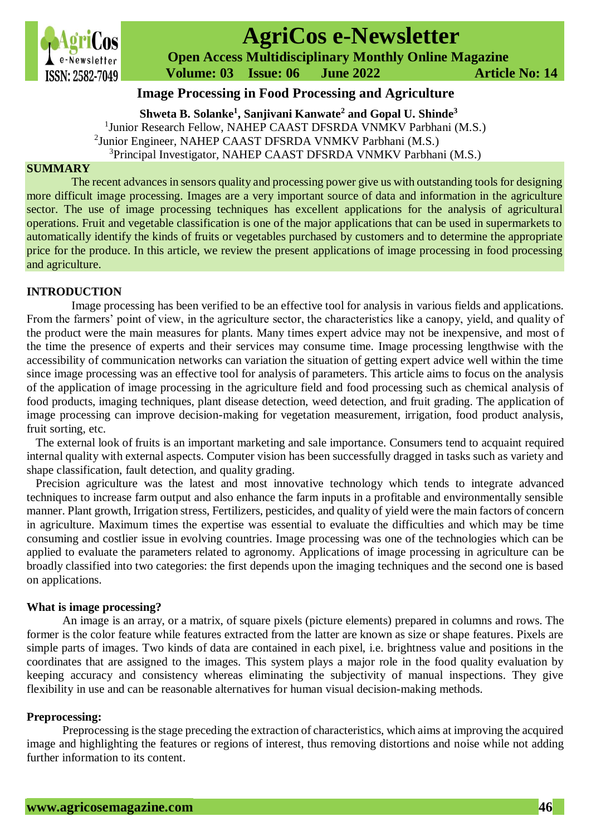

# **AgriCos e-Newsletter**

 **Open Access Multidisciplinary Monthly Online Magazine**

 **Volume: 03 Issue: 06 June 2022 Article No: 14**

# **Image Processing in Food Processing and Agriculture**

**Shweta B. Solanke<sup>1</sup> , Sanjivani Kanwate<sup>2</sup> and Gopal U. Shinde<sup>3</sup>** <sup>1</sup>Junior Research Fellow, NAHEP CAAST DFSRDA VNMKV Parbhani (M.S.) 2 Junior Engineer, NAHEP CAAST DFSRDA VNMKV Parbhani (M.S.) <sup>3</sup>Principal Investigator, NAHEP CAAST DFSRDA VNMKV Parbhani (M.S.)

# **SUMMARY**

The recent advances in sensors quality and processing power give us with outstanding tools for designing more difficult image processing. Images are a very important source of data and information in the agriculture sector. The use of image processing techniques has excellent applications for the analysis of agricultural operations. Fruit and vegetable classification is one of the major applications that can be used in supermarkets to automatically identify the kinds of fruits or vegetables purchased by customers and to determine the appropriate price for the produce. In this article, we review the present applications of image processing in food processing and agriculture.

#### **INTRODUCTION**

Image processing has been verified to be an effective tool for analysis in various fields and applications. From the farmers' point of view, in the agriculture sector, the characteristics like a canopy, yield, and quality of the product were the main measures for plants. Many times expert advice may not be inexpensive, and most of the time the presence of experts and their services may consume time. Image processing lengthwise with the accessibility of communication networks can variation the situation of getting expert advice well within the time since image processing was an effective tool for analysis of parameters. This article aims to focus on the analysis of the application of image processing in the agriculture field and food processing such as chemical analysis of food products, imaging techniques, plant disease detection, weed detection, and fruit grading. The application of image processing can improve decision-making for vegetation measurement, irrigation, food product analysis, fruit sorting, etc.

The external look of fruits is an important marketing and sale importance. Consumers tend to acquaint required internal quality with external aspects. Computer vision has been successfully dragged in tasks such as variety and shape classification, fault detection, and quality grading.

Precision agriculture was the latest and most innovative technology which tends to integrate advanced techniques to increase farm output and also enhance the farm inputs in a profitable and environmentally sensible manner. Plant growth, Irrigation stress, Fertilizers, pesticides, and quality of yield were the main factors of concern in agriculture. Maximum times the expertise was essential to evaluate the difficulties and which may be time consuming and costlier issue in evolving countries. Image processing was one of the technologies which can be applied to evaluate the parameters related to agronomy. Applications of image processing in agriculture can be broadly classified into two categories: the first depends upon the imaging techniques and the second one is based on applications.

#### **What is image processing?**

An image is an array, or a matrix, of square pixels (picture elements) prepared in columns and rows. The former is the color feature while features extracted from the latter are known as size or shape features. Pixels are simple parts of images. Two kinds of data are contained in each pixel, i.e. brightness value and positions in the coordinates that are assigned to the images. This system plays a major role in the food quality evaluation by keeping accuracy and consistency whereas eliminating the subjectivity of manual inspections. They give flexibility in use and can be reasonable alternatives for human visual decision-making methods.

#### **Preprocessing:**

Preprocessing is the stage preceding the extraction of characteristics, which aims at improving the acquired image and highlighting the features or regions of interest, thus removing distortions and noise while not adding further information to its content.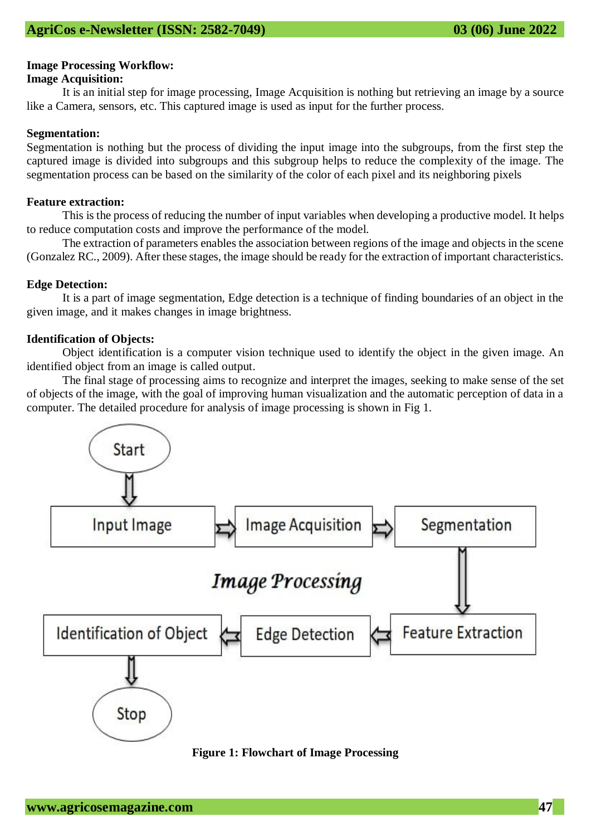## **Image Processing Workflow:**

#### **Image Acquisition:**

It is an initial step for image processing, Image Acquisition is nothing but retrieving an image by a source like a Camera, sensors, etc. This captured image is used as input for the further process.

#### **Segmentation:**

Segmentation is nothing but the process of dividing the input image into the subgroups, from the first step the captured image is divided into subgroups and this subgroup helps to reduce the complexity of the image. The segmentation process can be based on the similarity of the color of each pixel and its neighboring pixels

#### **Feature extraction:**

This is the process of reducing the number of input variables when developing a productive model. It helps to reduce computation costs and improve the performance of the model.

The extraction of parameters enables the association between regions of the image and objects in the scene (Gonzalez RC., 2009). After these stages, the image should be ready for the extraction of important characteristics.

### **Edge Detection:**

It is a part of image segmentation, Edge detection is a technique of finding boundaries of an object in the given image, and it makes changes in image brightness.

#### **Identification of Objects:**

Object identification is a computer vision technique used to identify the object in the given image. An identified object from an image is called output.

The final stage of processing aims to recognize and interpret the images, seeking to make sense of the set of objects of the image, with the goal of improving human visualization and the automatic perception of data in a computer. The detailed procedure for analysis of image processing is shown in Fig 1.



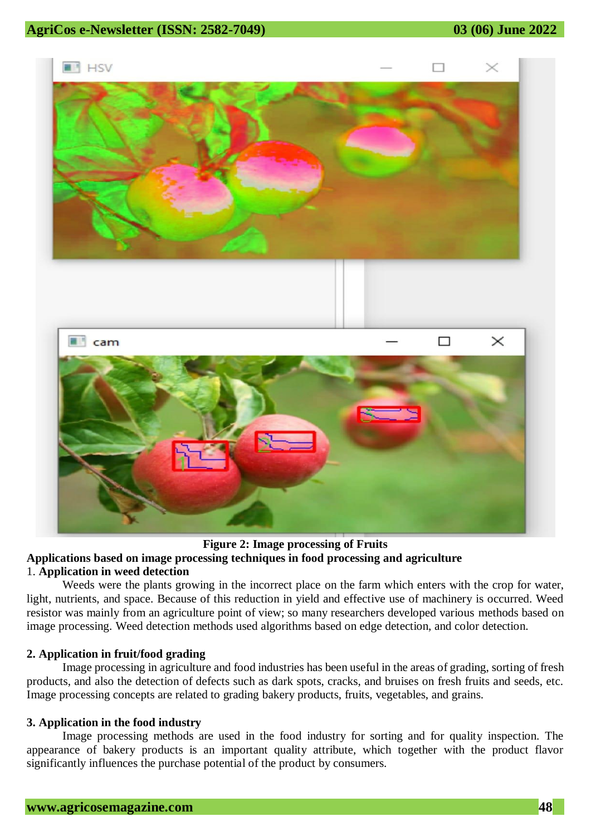# **AgriCos e-Newsletter (ISSN: 2582-7049) 03 (06) June 2022**



**Figure 2: Image processing of Fruits Applications based on image processing techniques in food processing and agriculture** 1. **Application in weed detection**

Weeds were the plants growing in the incorrect place on the farm which enters with the crop for water, light, nutrients, and space. Because of this reduction in yield and effective use of machinery is occurred. Weed resistor was mainly from an agriculture point of view; so many researchers developed various methods based on image processing. Weed detection methods used algorithms based on edge detection, and color detection.

### **2. Application in fruit/food grading**

Image processing in agriculture and food industries has been useful in the areas of grading, sorting of fresh products, and also the detection of defects such as dark spots, cracks, and bruises on fresh fruits and seeds, etc. Image processing concepts are related to grading bakery products, fruits, vegetables, and grains.

### **3. Application in the food industry**

Image processing methods are used in the food industry for sorting and for quality inspection. The appearance of bakery products is an important quality attribute, which together with the product flavor significantly influences the purchase potential of the product by consumers.